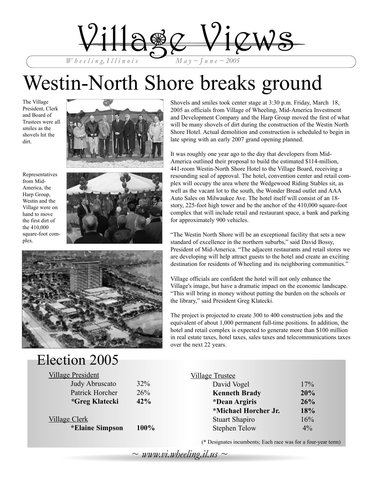

# Westin-North Shore breaks ground

The Village President, Clerk and Board of Trustees were all smiles as the shovels hit the dirt.



Representatives from Mid-America, the Harp Group, Westin and the Village were on hand to move the first dirt of the 410,000 square-foot complex.





## Election 2005

| $\sim$ UUULL $\sim$ UU       |
|------------------------------|
| <b>Village President</b>     |
| Judy Abruscato               |
| Patrick Horcher              |
| <i><b>*Greg Klatecki</b></i> |
|                              |

### Village Clerk

**\*Elaine Simpson 100%**

 $32%$  $26%$ *\****Greg Klatecki 42%** Shovels and smiles took center stage at 3:30 p.m. Friday, March 18, 2005 as officials from Village of Wheeling, Mid-America Investment and Development Company and the Harp Group moved the first of what will be many shovels of dirt during the construction of the Westin North Shore Hotel. Actual demolition and construction is scheduled to begin in late spring with an early 2007 grand opening planned.

It was roughly one year ago to the day that developers from Mid-America outlined their proposal to build the estimated \$114-million, 441-room Westin-North Shore Hotel to the Village Board, receiving a resounding seal of approval. The hotel, convention center and retail complex will occupy the area where the Wedgewood Riding Stables sit, as well as the vacant lot to the south, the Wonder Bread outlet and AAA Auto Sales on Milwaukee Ave. The hotel itself will consist of an 18 story, 225-foot high tower and be the anchor of the 410,000 square-foot complex that will include retail and restaurant space, a bank and parking for approximately 900 vehicles.

"The Westin North Shore will be an exceptional facility that sets a new standard of excellence in the northern suburbs," said David Bossy, President of Mid-America. "The adjacent restaurants and retail stores we are developing will help attract guests to the hotel and create an exciting destination for residents of Wheeling and its neighboring communities."

Village officials are confident the hotel will not only enhance the Village's image, but have a dramatic impact on the economic landscape. "This will bring in money without putting the burden on the schools or the library," said President Greg Klatecki.

The project is projected to create 300 to 400 construction jobs and the equivalent of about 1,000 permanent full-time positions. In addition, the hotel and retail complex is expected to generate more than \$100 million in real estate taxes, hotel taxes, sales taxes and telecommunications taxes over the next 22 years.

#### Village Trustee

| 17%        |
|------------|
| 20%        |
| 26%        |
| <b>18%</b> |
| 16%        |
| $4\%$      |
|            |

(\* Designates incumbents; Each race was for a four-year term)

 $\sim$  www.vi.wheeling.il.us  $\sim$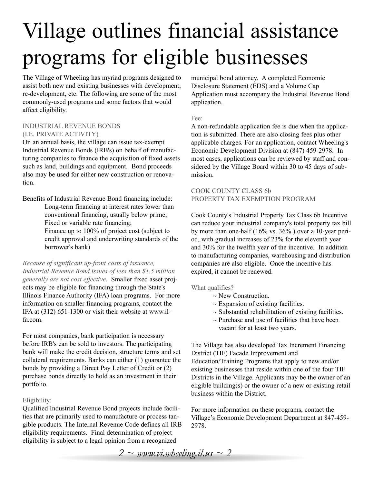# Village outlines financial assistance programs for eligible businesses

The Village of Wheeling has myriad programs designed to assist both new and existing businesses with development, re-development, etc. The following are some of the most commonly-used programs and some factors that would affect eligibility.

#### INDUSTRIAL REVENUE BONDS (I.E. PRIVATE ACTIVITY)

On an annual basis, the village can issue tax-exempt Industrial Revenue Bonds (IRB's) on behalf of manufacturing companies to finance the acquisition of fixed assets such as land, buildings and equipment. Bond proceeds also may be used for either new construction or renovation.

Benefits of Industrial Revenue Bond financing include: Long-term financing at interest rates lower than conventional financing, usually below prime; Fixed or variable rate financing; Finance up to 100% of project cost (subject to credit approval and underwriting standards of the borrower's bank)

*Because of significant up-front costs of issuance, Industrial Revenue Bond issues of less than \$1.5 million generally are not cost effective*. Smaller fixed asset projects may be eligible for financing through the State's Illinois Finance Authority (IFA) loan programs. For more information on smaller financing programs, contact the IFA at (312) 651-1300 or visit their website at www.ilfa.com.

For most companies, bank participation is necessary before IRB's can be sold to investors. The participating bank will make the credit decision, structure terms and set collateral requirements. Banks can either (1) guarantee the bonds by providing a Direct Pay Letter of Credit or (2) purchase bonds directly to hold as an investment in their portfolio.

### Eligibility:

Qualified Industrial Revenue Bond projects include facilities that are primarily used to manufacture or process tangible products. The Internal Revenue Code defines all IRB eligibility requirements. Final determination of project eligibility is subject to a legal opinion from a recognized

municipal bond attorney. A completed Economic Disclosure Statement (EDS) and a Volume Cap Application must accompany the Industrial Revenue Bond application.

#### Fee:

A non-refundable application fee is due when the application is submitted. There are also closing fees plus other applicable charges. For an application, contact Wheeling's Economic Development Division at (847) 459-2978. In most cases, applications can be reviewed by staff and considered by the Village Board within 30 to 45 days of submission.

#### COOK COUNTY CLASS 6b PROPERTY TAX EXEMPTION PROGRAM

Cook County's Industrial Property Tax Class 6b Incentive can reduce your industrial company's total property tax bill by more than one-half (16% vs. 36% ) over a 10-year period, with gradual increases of 23% for the eleventh year and 30% for the twelfth year of the incentive. In addition to manufacturing companies, warehousing and distribution companies are also eligible. Once the incentive has expired, it cannot be renewed.

What qualifies?

- $\sim$  New Construction.
- $\sim$  Expansion of existing facilities.
- $\sim$  Substantial rehabilitation of existing facilities.
- $\sim$  Purchase and use of facilities that have been
- vacant for at least two years.

The Village has also developed Tax Increment Financing District (TIF) Facade Improvement and Education/Training Programs that apply to new and/or existing businesses that reside within one of the four TIF Districts in the Village. Applicants may be the owner of an eligible building(s) or the owner of a new or existing retail business within the District.

For more information on these programs, contact the Village's Economic Development Department at 847-459- 2978.

*2 ~ www.vi.wheeling.il.us ~ 2*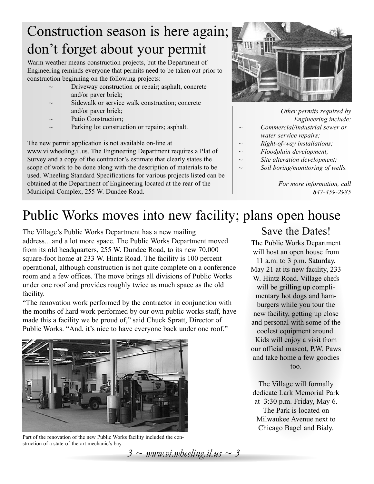## Construction season is here again; don't forget about your permit

Warm weather means construction projects, but the Department of Engineering reminds everyone that permits need to be taken out prior to construction beginning on the following projects:

- Driveway construction or repair; asphalt, concrete and/or paver brick;
- Sidewalk or service walk construction; concrete and/or paver brick;
- Patio Construction;
- Parking lot construction or repairs; asphalt.

The new permit application is not available on-line at www.vi.wheeling.il.us. The Engineering Department requires a Plat of Survey and a copy of the contractor's estimate that clearly states the scope of work to be done along with the description of materials to be used. Wheeling Standard Specifications for various projects listed can be obtained at the Department of Engineering located at the rear of the Municipal Complex, 255 W. Dundee Road.



*Other permits required by Engineering include:*

- *~ Commercial/industrial sewer or water service repairs;*
- *~ Right-of-way installations;*
- *~ Floodplain development;*
- *~ Site alteration development;*
- *~ Soil boring/monitoring of wells.*

*For more information, call 847-459-2985*

## Public Works moves into new facility; plans open house

The Village's Public Works Department has a new mailing address....and a lot more space. The Public Works Department moved from its old headquarters, 255 W. Dundee Road, to its new 70,000 square-foot home at 233 W. Hintz Road. The facility is 100 percent operational, although construction is not quite complete on a conference room and a few offices. The move brings all divisions of Public Works under one roof and provides roughly twice as much space as the old facility.

"The renovation work performed by the contractor in conjunction with the months of hard work performed by our own public works staff, have made this a facility we be proud of," said Chuck Spratt, Director of Public Works. "And, it's nice to have everyone back under one roof."



Part of the renovation of the new Public Works facility included the construction of a state-of-the-art mechanic's bay.

*3 ~ www.vi.wheeling.il.us ~ 3*

### Save the Dates!

The Public Works Department will host an open house from 11 a.m. to 3 p.m. Saturday, May 21 at its new facility, 233 W. Hintz Road. Village chefs will be grilling up complimentary hot dogs and hamburgers while you tour the new facility, getting up close and personal with some of the coolest equipment around. Kids will enjoy a visit from our official mascot, P.W. Paws and take home a few goodies too.

The Village will formally dedicate Lark Memorial Park at 3:30 p.m. Friday, May 6. The Park is located on Milwaukee Avenue next to Chicago Bagel and Bialy.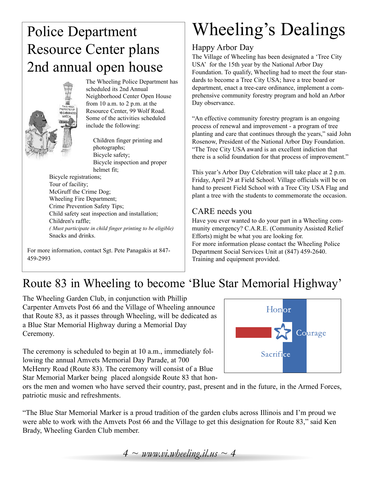## Police Department Resource Center plans 2nd annual open house



The Wheeling Police Department has scheduled its 2nd Annual Neighborhood Center Open House from 10 a.m. to 2 p.m. at the Resource Center, 99 Wolf Road. Some of the activities scheduled include the following:

Children finger printing and photographs; Bicycle safety; Bicycle inspection and proper helmet fit;

Bicycle registrations; Tour of facility; McGruff the Crime Dog; Wheeling Fire Department; Crime Prevention Safety Tips; Child safety seat inspection and installation; Children's raffle; *( Must participate in child finger printing to be eligible)* Snacks and drinks.

For more information, contact Sgt. Pete Panagakis at 847- 459-2993

# Wheeling's Dealings

### Happy Arbor Day

The Village of Wheeling has been designated a 'Tree City USA' for the 15th year by the National Arbor Day Foundation. To qualify, Wheeling had to meet the four standards to become a Tree City USA; have a tree board or department, enact a tree-care ordinance, implement a comprehensive community forestry program and hold an Arbor Day observance.

"An effective community forestry program is an ongoing process of renewal and improvement - a program of tree planting and care that continues through the years," said John Rosenow, President of the National Arbor Day Foundation. "The Tree City USA award is an excellent indiction that there is a solid foundation for that process of improvement."

This year's Arbor Day Celebration will take place at 2 p.m. Friday, April 29 at Field School. Village officials will be on hand to present Field School with a Tree City USA Flag and plant a tree with the students to commemorate the occasion.

### CARE needs you

Have you ever wanted to do your part in a Wheeling community emergency? C.A.R.E. (Community Assisted Relief Efforts) might be what you are looking for. For more information please contact the Wheeling Police Department Social Services Unit at (847) 459-2640. Training and equipment provided.

### Route 83 in Wheeling to become 'Blue Star Memorial Highway'

The Wheeling Garden Club, in conjunction with Phillip Carpenter Amvets Post 66 and the Village of Wheeling announce that Route 83, as it passes through Wheeling, will be dedicated as a Blue Star Memorial Highway during a Memorial Day Ceremony.

The ceremony is scheduled to begin at 10 a.m., immediately following the annual Amvets Memorial Day Parade, at 700 McHenry Road (Route 83). The ceremony will consist of a Blue Star Memorial Marker being placed alongside Route 83 that hon-



ors the men and women who have served their country, past, present and in the future, in the Armed Forces, patriotic music and refreshments.

"The Blue Star Memorial Marker is a proud tradition of the garden clubs across Illinois and I'm proud we were able to work with the Amvets Post 66 and the Village to get this designation for Route 83," said Ken Brady, Wheeling Garden Club member.

*4 ~ www.vi.wheeling.il.us ~ 4*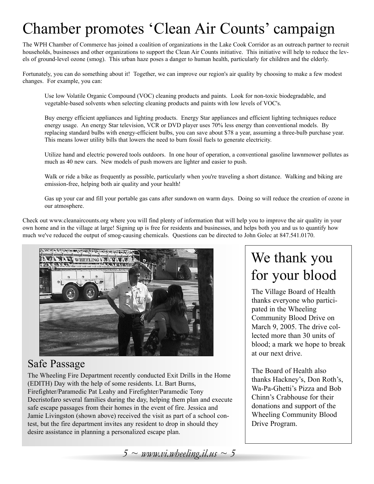## Chamber promotes 'Clean Air Counts' campaign

The WPH Chamber of Commerce has joined a coalition of organizations in the Lake Cook Corridor as an outreach partner to recruit households, businesses and other organizations to support the Clean Air Counts initiative. This initiative will help to reduce the levels of ground-level ozone (smog). This urban haze poses a danger to human health, particularly for children and the elderly.

Fortunately, you can do something about it! Together, we can improve our region's air quality by choosing to make a few modest changes. For example, you can:

Use low Volatile Organic Compound (VOC) cleaning products and paints. Look for non-toxic biodegradable, and vegetable-based solvents when selecting cleaning products and paints with low levels of VOC's.

Buy energy efficient appliances and lighting products. Energy Star appliances and efficient lighting techniques reduce energy usage. An energy Star television, VCR or DVD player uses 70% less energy than conventional models. By replacing standard bulbs with energy-efficient bulbs, you can save about \$78 a year, assuming a three-bulb purchase year. This means lower utility bills that lowers the need to burn fossil fuels to generate electricity.

Utilize hand and electric powered tools outdoors. In one hour of operation, a conventional gasoline lawnmower pollutes as much as 40 new cars. New models of push mowers are lighter and easier to push.

Walk or ride a bike as frequently as possible, particularly when you're traveling a short distance. Walking and biking are emission-free, helping both air quality and your health!

Gas up your car and fill your portable gas cans after sundown on warm days. Doing so will reduce the creation of ozone in our atmosphere.

Check out www.cleanaircounts.org where you will find plenty of information that will help you to improve the air quality in your own home and in the village at large! Signing up is free for residents and businesses, and helps both you and us to quantify how much we've reduced the output of smog-causing chemicals. Questions can be directed to John Golec at 847.541.0170.



### Safe Passage

The Wheeling Fire Department recently conducted Exit Drills in the Home (EDITH) Day with the help of some residents. Lt. Bart Burns, Firefighter/Paramedic Pat Leahy and Firefighter/Paramedic Tony Decristofaro several families during the day, helping them plan and execute safe escape passages from their homes in the event of fire. Jessica and Jamie Livingston (shown above) received the visit as part of a school contest, but the fire department invites any resident to drop in should they desire assistance in planning a personalized escape plan.

## We thank you for your blood

The Village Board of Health thanks everyone who participated in the Wheeling Community Blood Drive on March 9, 2005. The drive collected more than 30 units of blood; a mark we hope to break at our next drive.

The Board of Health also thanks Hackney's, Don Roth's, Wa-Pa-Ghetti's Pizza and Bob Chinn's Crabhouse for their donations and support of the Wheeling Community Blood Drive Program.

 $5 \sim$  www.vi.wheeling.il.us  $\sim$  5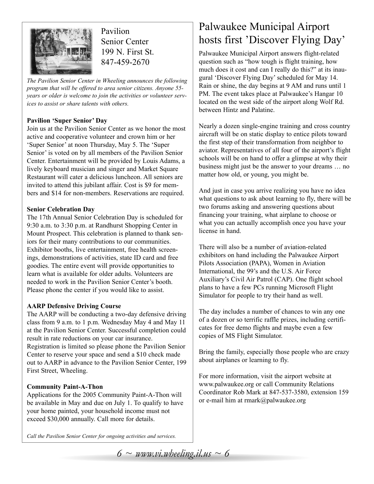

Pavilion Senior Center 199 N. First St. 847-459-2670

*The Pavilion Senior Center in Wheeling announces the following program that will be offered to area senior citizens. Anyone 55 years or older is welcome to join the activities or volunteer services to assist or share talents with others.*

### **Pavilion 'Super Senior' Day**

Join us at the Pavilion Senior Center as we honor the most active and cooperative volunteer and crown him or her 'Super Senior' at noon Thursday, May 5. The 'Super Senior' is voted on by all members of the Pavilion Senior Center. Entertainment will be provided by Louis Adams, a lively keyboard musician and singer and Market Square Restaurant will cater a delicious luncheon. All seniors are invited to attend this jubilant affair. Cost is \$9 for members and \$14 for non-members. Reservations are required.

### **Senior Celebration Day**

The 17th Annual Senior Celebration Day is scheduled for 9:30 a.m. to 3:30 p.m. at Randhurst Shopping Center in Mount Prospect. This celebration is planned to thank seniors for their many contributions to our communities. Exhibitor booths, live entertainment, free health screenings, demonstrations of activities, state ID card and free goodies. The entire event will provide opportunities to learn what is available for older adults. Volunteers are needed to work in the Pavilion Senior Center's booth. Please phone the center if you would like to assist.

### **AARP Defensive Driving Course**

The AARP will be conducting a two-day defensive driving class from 9 a.m. to 1 p.m. Wednesday May 4 and May 11 at the Pavilion Senior Center. Successful completion could result in rate reductions on your car insurance. Registration is limited so please phone the Pavilion Senior Center to reserve your space and send a \$10 check made out to AARP in advance to the Pavilion Senior Center, 199 First Street, Wheeling.

### **Community Paint-A-Thon**

Applications for the 2005 Community Paint-A-Thon will be available in May and due on July 1. To qualify to have your home painted, your household income must not exceed \$30,000 annually. Call more for details.

*Call the Pavilion Senior Center for ongoing activities and services.* 

### Palwaukee Municipal Airport hosts first 'Discover Flying Day'

Palwaukee Municipal Airport answers flight-related question such as "how tough is flight training, how much does it cost and can I really do this?" at its inaugural 'Discover Flying Day' scheduled for May 14. Rain or shine, the day begins at 9 AM and runs until 1 PM. The event takes place at Palwaukee's Hangar 10 located on the west side of the airport along Wolf Rd. between Hintz and Palatine.

Nearly a dozen single-engine training and cross country aircraft will be on static display to entice pilots toward the first step of their transformation from neighbor to aviator. Representatives of all four of the airport's flight schools will be on hand to offer a glimpse at why their business might just be the answer to your dreams … no matter how old, or young, you might be.

And just in case you arrive realizing you have no idea what questions to ask about learning to fly, there will be two forums asking and answering questions about financing your training, what airplane to choose or what you can actually accomplish once you have your license in hand.

There will also be a number of aviation-related exhibitors on hand including the Palwaukee Airport Pilots Association (PAPA), Women in Aviation International, the 99's and the U.S. Air Force Auxiliary's Civil Air Patrol (CAP). One flight school plans to have a few PCs running Microsoft Flight Simulator for people to try their hand as well.

The day includes a number of chances to win any one of a dozen or so terrific raffle prizes, including certificates for free demo flights and maybe even a few copies of MS Flight Simulator.

Bring the family, especially those people who are crazy about airplanes or learning to fly.

For more information, visit the airport website at www.palwaukee.org or call Community Relations Coordinator Rob Mark at 847-537-3580, extension 159 or e-mail him at rmark@palwaukee.org

 $6 \sim$  www.vi.wheeling.il.us  $\sim$  6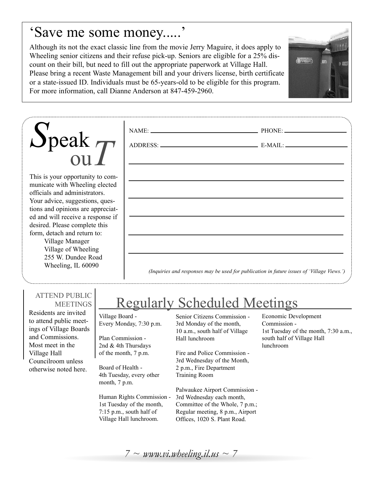### 'Save me some money.....'

Although its not the exact classic line from the movie Jerry Maguire, it does apply to Wheeling senior citizens and their refuse pick-up. Seniors are eligible for a 25% discount on their bill, but need to fill out the appropriate paperwork at Village Hall. Please bring a recent Waste Management bill and your drivers license, birth certificate or a state-issued ID. Individuals must be 65-years-old to be eligible for this program. For more information, call Dianne Anderson at 847-459-2960.



| $\sum_{\text{ou}}^{\text{peak}}$                                                |                                                                                            |  |
|---------------------------------------------------------------------------------|--------------------------------------------------------------------------------------------|--|
|                                                                                 |                                                                                            |  |
| This is your opportunity to com-<br>municate with Wheeling elected              |                                                                                            |  |
| officials and administrators.<br>Your advice, suggestions, ques-                |                                                                                            |  |
| tions and opinions are appreciat-<br>ed and will receive a response if          |                                                                                            |  |
| desired. Please complete this<br>form, detach and return to:<br>Village Manager |                                                                                            |  |
| Village of Wheeling<br>255 W. Dundee Road                                       |                                                                                            |  |
| Wheeling, IL 60090                                                              | (Inquiries and responses may be used for publication in future issues of 'Village Views.') |  |

### ATTEND PUBLIC **MEETINGS**

Residents are invited to attend public meetings of Village Boards and Commissions. Most meet in the Village Hall Councilroom unless otherwise noted here.

## Regularly Scheduled Meetings

Village Board - Every Monday, 7:30 p.m.

Plan Commission - 2nd & 4th Thursdays of the month, 7 p.m.

Board of Health - 4th Tuesday, every other month, 7 p.m.

Human Rights Commission - 1st Tuesday of the month, 7:15 p.m., south half of Village Hall lunchroom.

Senior Citizens Commission - 3rd Monday of the month, 10 a.m., south half of Village Hall lunchroom

Fire and Police Commission - 3rd Wednesday of the Month, 2 p.m., Fire Department Training Room

Palwaukee Airport Commission - 3rd Wednesday each month, Committee of the Whole, 7 p.m.; Regular meeting, 8 p.m., Airport Offices, 1020 S. Plant Road.

Economic Development Commission - 1st Tuesday of the month, 7:30 a.m., south half of Village Hall lunchroom

 $7 \sim$  *www.vi.wheeling.il.us*  $\sim$  7